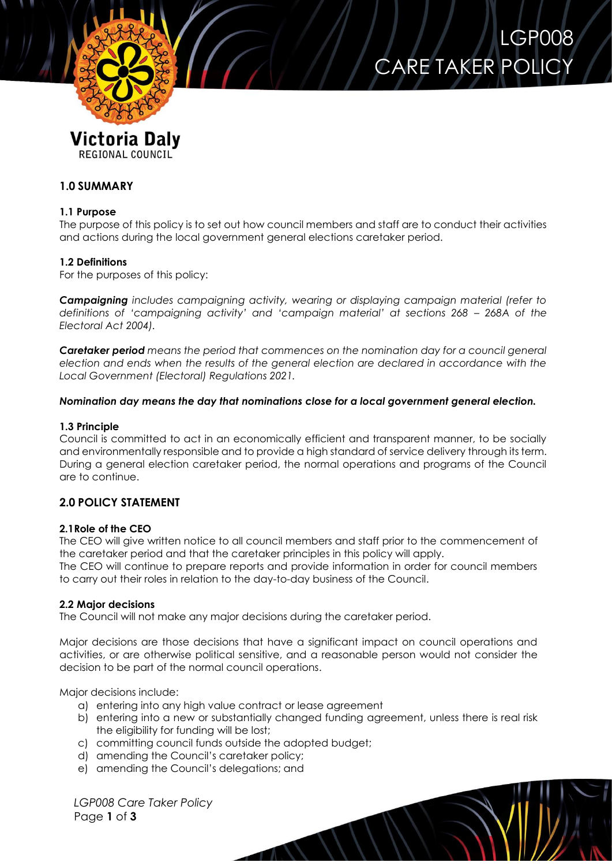

REGIONAL COUNCIL

# **1.0 SUMMARY**

## **1.1 Purpose**

The purpose of this policy is to set out how council members and staff are to conduct their activities and actions during the local government general elections caretaker period.

LGP008

CARE TAKER POLIC

## **1.2 Definitions**

For the purposes of this policy:

*Campaigning includes campaigning activity, wearing or displaying campaign material (refer to definitions of 'campaigning activity' and 'campaign material' at sections 268 – 268A of the Electoral Act 2004).*

*Caretaker period means the period that commences on the nomination day for a council general election and ends when the results of the general election are declared in accordance with the Local Government (Electoral) Regulations 2021.*

### *Nomination day means the day that nominations close for a local government general election.*

### **1.3 Principle**

Council is committed to act in an economically efficient and transparent manner, to be socially and environmentally responsible and to provide a high standard of service delivery through its term. During a general election caretaker period, the normal operations and programs of the Council are to continue.

## **2.0 POLICY STATEMENT**

### **2.1Role of the CEO**

The CEO will give written notice to all council members and staff prior to the commencement of the caretaker period and that the caretaker principles in this policy will apply.

The CEO will continue to prepare reports and provide information in order for council members to carry out their roles in relation to the day-to-day business of the Council.

### **2.2 Major decisions**

The Council will not make any major decisions during the caretaker period.

Major decisions are those decisions that have a significant impact on council operations and activities, or are otherwise political sensitive, and a reasonable person would not consider the decision to be part of the normal council operations.

Major decisions include:

- a) entering into any high value contract or lease agreement
- b) entering into a new or substantially changed funding agreement, unless there is real risk the eligibility for funding will be lost;

 $\mathcal{N}$ 

- c) committing council funds outside the adopted budget;
- d) amending the Council's caretaker policy;
- e) amending the Council's delegations; and

*LGP008 Care Taker Policy* Page **1** of **3**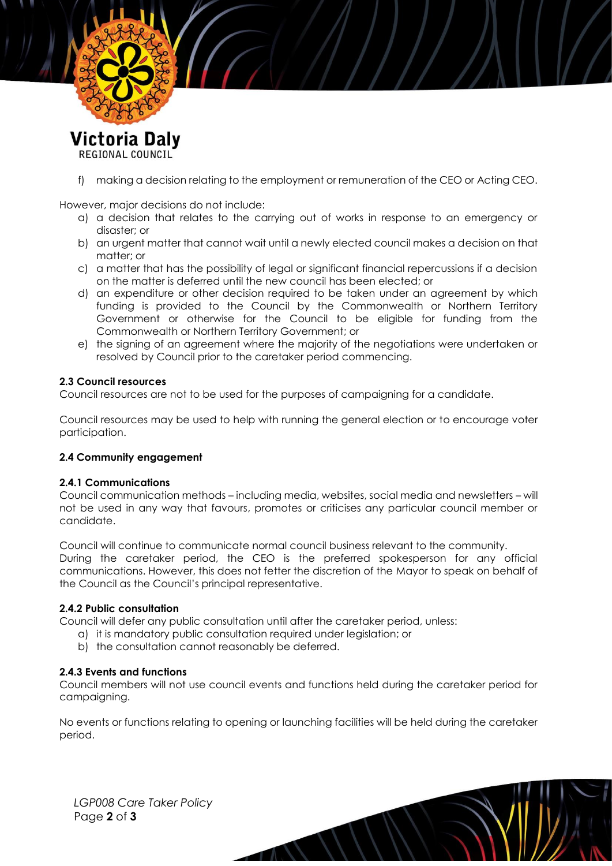

REGIONAL COUNCIL

f) making a decision relating to the employment or remuneration of the CEO or Acting CEO.

However, major decisions do not include:

- a) a decision that relates to the carrying out of works in response to an emergency or disaster; or
- b) an urgent matter that cannot wait until a newly elected council makes a decision on that matter; or
- c) a matter that has the possibility of legal or significant financial repercussions if a decision on the matter is deferred until the new council has been elected; or
- d) an expenditure or other decision required to be taken under an agreement by which funding is provided to the Council by the Commonwealth or Northern Territory Government or otherwise for the Council to be eligible for funding from the Commonwealth or Northern Territory Government; or
- e) the signing of an agreement where the majority of the negotiations were undertaken or resolved by Council prior to the caretaker period commencing.

#### **2.3 Council resources**

Council resources are not to be used for the purposes of campaigning for a candidate.

Council resources may be used to help with running the general election or to encourage voter participation.

### **2.4 Community engagement**

#### **2.4.1 Communications**

Council communication methods – including media, websites, social media and newsletters – will not be used in any way that favours, promotes or criticises any particular council member or candidate.

Council will continue to communicate normal council business relevant to the community. During the caretaker period, the CEO is the preferred spokesperson for any official communications. However, this does not fetter the discretion of the Mayor to speak on behalf of the Council as the Council's principal representative.

#### **2.4.2 Public consultation**

Council will defer any public consultation until after the caretaker period, unless:

- a) it is mandatory public consultation required under legislation; or
- b) the consultation cannot reasonably be deferred.

### **2.4.3 Events and functions**

Council members will not use council events and functions held during the caretaker period for campaigning.

No events or functions relating to opening or launching facilities will be held during the caretaker period.

 $\overline{11}$ 

*LGP008 Care Taker Policy* Page **2** of **3**